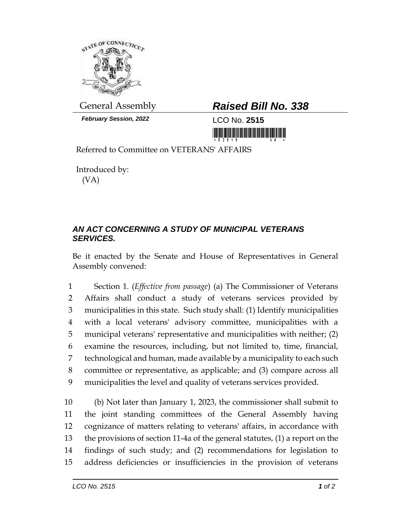

*February Session, 2022* LCO No. **2515**

## General Assembly *Raised Bill No. 338*

<u> III di kacamatan ing Kabupatèn III di kacamatan III di kacamatan III di kacamatan III di kacamatan III di kacamatan III di kacamatan III di kacamatan III di kacamatan III di kacamatan III di kacamatan III di kacamatan II</u>

Referred to Committee on VETERANS' AFFAIRS

Introduced by: (VA)

## *AN ACT CONCERNING A STUDY OF MUNICIPAL VETERANS SERVICES.*

Be it enacted by the Senate and House of Representatives in General Assembly convened:

 Section 1. (*Effective from passage*) (a) The Commissioner of Veterans Affairs shall conduct a study of veterans services provided by municipalities in this state. Such study shall: (1) Identify municipalities with a local veterans' advisory committee, municipalities with a municipal veterans' representative and municipalities with neither; (2) examine the resources, including, but not limited to, time, financial, technological and human, made available by a municipality to each such committee or representative, as applicable; and (3) compare across all municipalities the level and quality of veterans services provided.

 (b) Not later than January 1, 2023, the commissioner shall submit to the joint standing committees of the General Assembly having cognizance of matters relating to veterans' affairs, in accordance with the provisions of section 11-4a of the general statutes, (1) a report on the findings of such study; and (2) recommendations for legislation to address deficiencies or insufficiencies in the provision of veterans